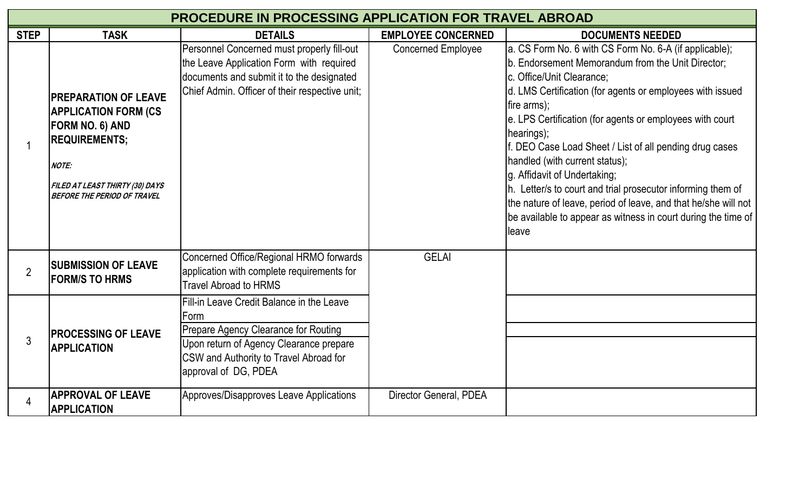| <b>PROCEDURE IN PROCESSING APPLICATION FOR TRAVEL ABROAD</b> |                                                                                                                                                                                                        |                                                                                                                                                                                                        |                           |                                                                                                                                                                                                                                                                                                                                                                                                                                                                                                                                                                                                                                        |  |
|--------------------------------------------------------------|--------------------------------------------------------------------------------------------------------------------------------------------------------------------------------------------------------|--------------------------------------------------------------------------------------------------------------------------------------------------------------------------------------------------------|---------------------------|----------------------------------------------------------------------------------------------------------------------------------------------------------------------------------------------------------------------------------------------------------------------------------------------------------------------------------------------------------------------------------------------------------------------------------------------------------------------------------------------------------------------------------------------------------------------------------------------------------------------------------------|--|
| <b>STEP</b>                                                  | <b>TASK</b>                                                                                                                                                                                            | <b>DETAILS</b>                                                                                                                                                                                         | <b>EMPLOYEE CONCERNED</b> | <b>DOCUMENTS NEEDED</b>                                                                                                                                                                                                                                                                                                                                                                                                                                                                                                                                                                                                                |  |
|                                                              | <b>IPREPARATION OF LEAVE</b><br><b>APPLICATION FORM (CS</b><br><b>FORM NO. 6) AND</b><br><b>REQUIREMENTS;</b><br><b>NOTE:</b><br>FILED AT LEAST THIRTY (30) DAYS<br><b>BEFORE THE PERIOD OF TRAVEL</b> | Personnel Concerned must properly fill-out<br>the Leave Application Form with required<br>documents and submit it to the designated<br>Chief Admin. Officer of their respective unit;                  | <b>Concerned Employee</b> | a. CS Form No. 6 with CS Form No. 6-A (if applicable);<br>b. Endorsement Memorandum from the Unit Director;<br>c. Office/Unit Clearance;<br>d. LMS Certification (for agents or employees with issued<br>fire arms);<br>e. LPS Certification (for agents or employees with court<br>hearings);<br>f. DEO Case Load Sheet / List of all pending drug cases<br>handled (with current status);<br>g. Affidavit of Undertaking;<br>h. Letter/s to court and trial prosecutor informing them of<br>the nature of leave, period of leave, and that he/she will not<br>be available to appear as witness in court during the time of<br>leave |  |
| $\overline{2}$                                               | <b>ISUBMISSION OF LEAVE</b><br><b>IFORM/S TO HRMS</b>                                                                                                                                                  | Concerned Office/Regional HRMO forwards<br>application with complete requirements for<br><b>Travel Abroad to HRMS</b>                                                                                  | <b>GELAI</b>              |                                                                                                                                                                                                                                                                                                                                                                                                                                                                                                                                                                                                                                        |  |
| $\mathfrak{Z}$                                               | <b>IPROCESSING OF LEAVE</b><br><b>APPLICATION</b>                                                                                                                                                      | Fill-in Leave Credit Balance in the Leave<br>Form<br>Prepare Agency Clearance for Routing<br>Upon return of Agency Clearance prepare<br>CSW and Authority to Travel Abroad for<br>approval of DG, PDEA |                           |                                                                                                                                                                                                                                                                                                                                                                                                                                                                                                                                                                                                                                        |  |
|                                                              | <b>APPROVAL OF LEAVE</b><br><b>APPLICATION</b>                                                                                                                                                         | Approves/Disapproves Leave Applications                                                                                                                                                                | Director General, PDEA    |                                                                                                                                                                                                                                                                                                                                                                                                                                                                                                                                                                                                                                        |  |